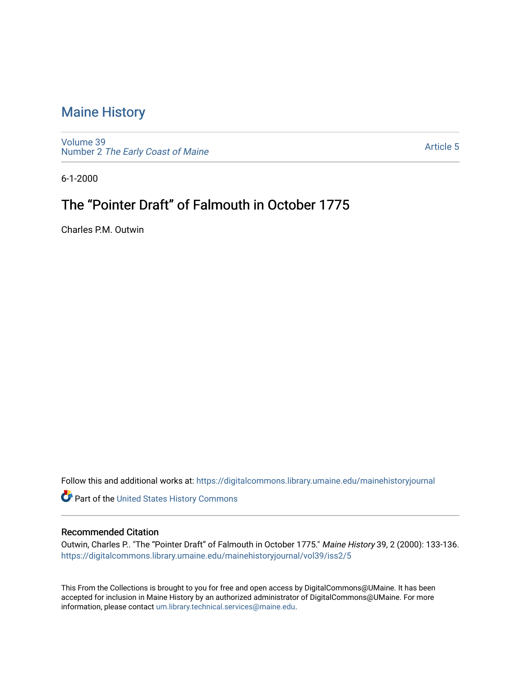## [Maine History](https://digitalcommons.library.umaine.edu/mainehistoryjournal)

[Volume 39](https://digitalcommons.library.umaine.edu/mainehistoryjournal/vol39) Number 2 [The Early Coast of Maine](https://digitalcommons.library.umaine.edu/mainehistoryjournal/vol39/iss2) 

[Article 5](https://digitalcommons.library.umaine.edu/mainehistoryjournal/vol39/iss2/5) 

6-1-2000

## The "Pointer Draft" of Falmouth in October 1775

Charles P.M. Outwin

Follow this and additional works at: [https://digitalcommons.library.umaine.edu/mainehistoryjournal](https://digitalcommons.library.umaine.edu/mainehistoryjournal?utm_source=digitalcommons.library.umaine.edu%2Fmainehistoryjournal%2Fvol39%2Fiss2%2F5&utm_medium=PDF&utm_campaign=PDFCoverPages) 

Part of the [United States History Commons](http://network.bepress.com/hgg/discipline/495?utm_source=digitalcommons.library.umaine.edu%2Fmainehistoryjournal%2Fvol39%2Fiss2%2F5&utm_medium=PDF&utm_campaign=PDFCoverPages) 

#### Recommended Citation

Outwin, Charles P.. "The "Pointer Draft" of Falmouth in October 1775." Maine History 39, 2 (2000): 133-136. [https://digitalcommons.library.umaine.edu/mainehistoryjournal/vol39/iss2/5](https://digitalcommons.library.umaine.edu/mainehistoryjournal/vol39/iss2/5?utm_source=digitalcommons.library.umaine.edu%2Fmainehistoryjournal%2Fvol39%2Fiss2%2F5&utm_medium=PDF&utm_campaign=PDFCoverPages)

This From the Collections is brought to you for free and open access by DigitalCommons@UMaine. It has been accepted for inclusion in Maine History by an authorized administrator of DigitalCommons@UMaine. For more information, please contact [um.library.technical.services@maine.edu](mailto:um.library.technical.services@maine.edu).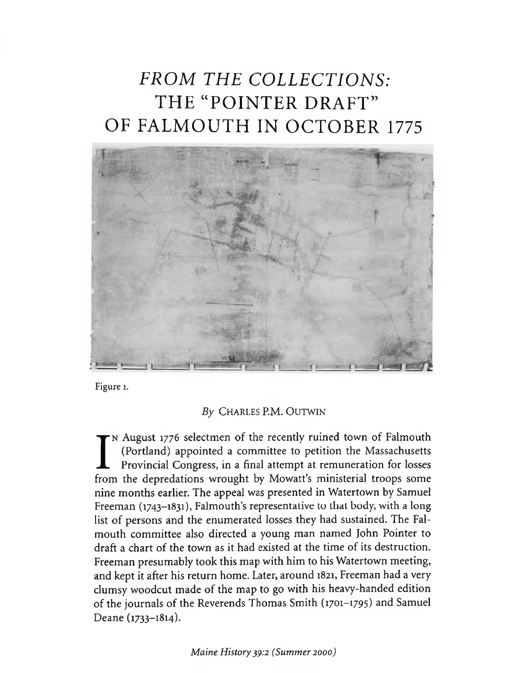# *FROM THE COLLECTIONS:* THE "POINTER DRAFT" OF FALMOUTH IN OCTOBER 1775



Figure 1.

### By CHARLES P.M. OUTWIN

I<sup>N</sup> August 1776 selectmen or the recently ruined town or Falmouth<br>(Portland) appointed a committee to petition the Massachusetts<br>Provincial Congress, in a final attempt at remuneration for losses<br>from the depredations wro n August 1776 selectmen of the recently ruined town of Falmouth (Portland) appointed a committee to petition the Massachusetts Provincial Congress, in a final attempt at remuneration for losses nine months earlier. The appeal was presented in Watertown by Samuel Freeman (1743-1831), Falmouth's representative to that body, with a long list of persons and the enumerated losses they had sustained. The Falmouth committee also directed a young man named John Pointer to draft a chart of the town as it had existed at the time of its destruction. Freeman presumably took this map with him to his Watertown meeting, and kept it after his return home. Later, around 1821, Freeman had a very clumsy woodcut made of the map to go with his heavy-handed edition of the journals of the Reverends Thomas Smith (1701-1795) and Samuel Deane (1733-1814).

*Maine History 39:2 (Summer 2000)*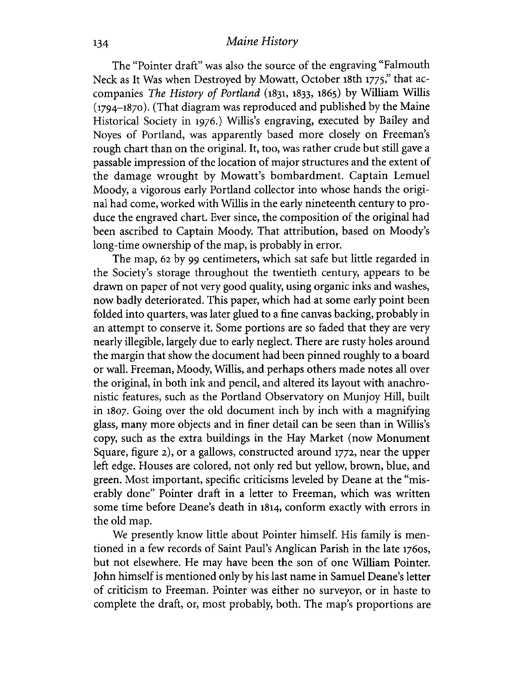### 134 *Maine History*

The "Pointer draft" was also the source of the engraving "Falmouth Neck as It Was when Destroyed by Mowatt, October 18th 1775," that accompanies *The History of Portland* (1831, 1833, 1865) by William Willis (1794-1870). (That diagram was reproduced and published by the Maine Historical Society in 1976.) Willis's engraving, executed by Bailey and Noyes of Portland, was apparently based more closely on Freeman's rough chart than on the original. It, too, was rather crude but still gave a passable impression of the location of major structures and the extent of the damage wrought by Mowatt's bombardment. Captain Lemuel Moody, a vigorous early Portland collector into whose hands the original had come, worked with Willis in the early nineteenth century to produce the engraved chart. Ever since, the composition of the original had been ascribed to Captain Moody. That attribution, based on Moody's long-time ownership of the map, is probably in error.

The map, 62 by 99 centimeters, which sat safe but little regarded in the Society's storage throughout the twentieth century, appears to be drawn on paper of not very good quality, using organic inks and washes, now badly deteriorated. This paper, which had at some early point been folded into quarters, was later glued to a fine canvas backing, probably in an attempt to conserve it. Some portions are so faded that they are very nearly illegible, largely due to early neglect. There are rusty holes around the margin that show the document had been pinned roughly to a board or wall. Freeman, Moody, Willis, and perhaps others made notes all over the original, in both ink and pencil, and altered its layout with anachronistic features, such as the Portland Observatory on Munjoy Hill, built in 1807. Going over the old document inch by inch with a magnifying glass, many more objects and in finer detail can be seen than in Willis's copy, such as the extra buildings in the Hay Market (now Monument Square, figure 2), or a gallows, constructed around 1772, near the upper left edge. Houses are colored, not only red but yellow, brown, blue, and green. Most important, specific criticisms leveled by Deane at the "miserably done" Pointer draft in a letter to Freeman, which was written some time before Deane's death in 1814, conform exactly with errors in the old map.

We presently know little about Pointer himself. His family is mentioned in a few records of Saint Paul's Anglican Parish in the late 1760s, but not elsewhere. He may have been the son of one William Pointer. John himself is mentioned only by his last name in Samuel Deane's letter of criticism to Freeman. Pointer was either no surveyor, or in haste to complete the draft, or, most probably, both. The map's proportions are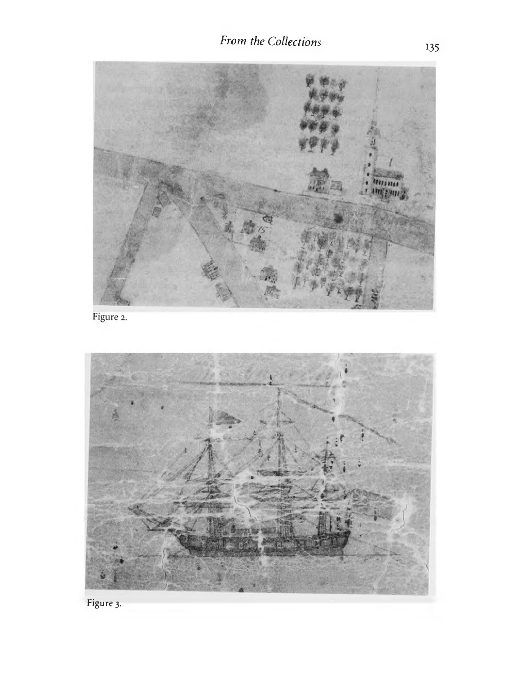

Figure 2.